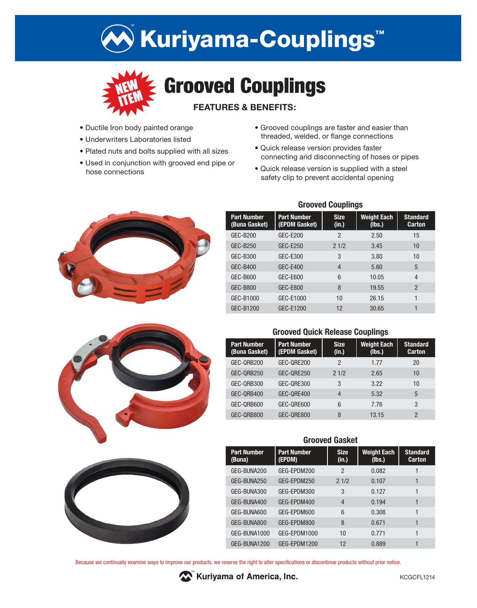# Kuriyama-Couplings™



- Ductile Iron body painted orange
- Underwriters Laboratories listed
- Plated nuts and bolts supplied with all sizes
- Used in conjunction with grooved end pipe or hose connections
- Grooved couplings are faster and easier than threaded, welded, or flange connections
- Quick release version provides faster connecting and disconnecting of hoses or pipes
- Quick release version is supplied with a steel safety clip to prevent accidental opening







## **Grooved Couplings**

| <b>Part Number</b><br>(Buna Gasket) | <b>Part Number</b><br>(EPDM Gasket) | <b>Size</b><br>(in.) | <b>Weight Each</b><br>(Ibs.) | <b>Standard</b><br><b>Carton</b> |
|-------------------------------------|-------------------------------------|----------------------|------------------------------|----------------------------------|
| GEC-B200                            | GEC-E200                            | 2                    | 2.50                         | 15                               |
| GEC-B250                            | GEC-E250                            | 21/2                 | 3.45                         | 10                               |
| GEC-B300                            | GEC-E300                            | 3                    | 3.80                         | 10                               |
| GEC-B400                            | GEC-E400                            | $\overline{4}$       | 5.60                         | 5                                |
| GEC-B600                            | GEC-E600                            | 6                    | 10.05                        | 4                                |
| <b>GEC-B800</b>                     | GEC-E800                            | 8                    | 19.55                        | $\mathfrak{p}$                   |
| GEC-B1000                           | GEC-E1000                           | 10                   | 26.15                        |                                  |
| GEC-B1200                           | GEC-E1200                           | 12                   | 30.65                        |                                  |

## **Grooved Quick Release Couplings**

| <b>Part Number</b><br>(Buna Gasket) | <b>Part Number</b><br>(EPDM Gasket) | <b>Size</b><br>(in.) | <b>Weight Each</b><br>(lbs.) | <b>Standard</b><br><b>Carton</b> |
|-------------------------------------|-------------------------------------|----------------------|------------------------------|----------------------------------|
| GEC-QRB200                          | GEC-ORE200                          | 2                    | 1.77                         | 20                               |
| GEC-QRB250                          | GEC-ORE250                          | 21/2                 | 2.65                         | 10                               |
| GEC-QRB300                          | GEC-ORE300                          | 3                    | 3.22                         | 10                               |
| GEC-QRB400                          | GEC-ORE400                          | 4                    | 5.32                         | 5                                |
| GEC-QRB600                          | GEC-ORE600                          | 6                    | 7.76                         | 3                                |
| GEC-ORB800                          | GEC-ORE800                          | 8                    | 13.15                        | $\mathcal{P}$                    |

#### **Grooved Gasket**

| <b>Part Number</b><br>(Buna) | <b>Part Number</b><br>(EPDM) | <b>Size</b><br>(in.) | <b>Weight Each</b><br>(Ibs.) | <b>Standard</b><br><b>Carton</b> |
|------------------------------|------------------------------|----------------------|------------------------------|----------------------------------|
| GEG-BUNA200                  | GEG-EPDM200                  | 2                    | 0.082                        |                                  |
| GEG-BUNA250                  | GEG-EPDM250                  | 21/2                 | 0.107                        |                                  |
| GEG-BUNA300                  | GEG-EPDM300                  | 3                    | 0.127                        |                                  |
| GEG-BUNA400                  | GEG-EPDM400                  | $\overline{4}$       | 0.194                        |                                  |
| GEG-BUNA600                  | GEG-EPDM600                  | 6                    | 0.308                        |                                  |
| GEG-BUNA800                  | GEG-EPDM800                  | 8                    | 0.671                        | 1                                |
| GEG-BUNA1000                 | GEG-EPDM1000                 | 10                   | 0.771                        |                                  |
| GEG-BUNA1200                 | GEG-EPDM1200                 | 12                   | 0.889                        |                                  |

Because we continually examine ways to improve our products, we reserve the right to alter specifications or discontinue products without prior notice.